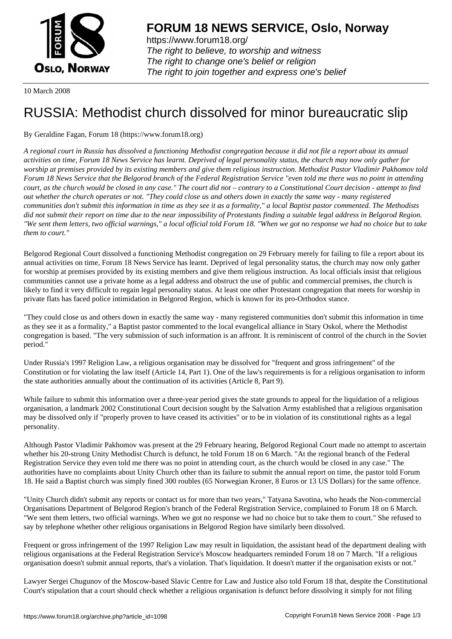

https://www.forum18.org/ The right to believe, to worship and witness The right to change one's belief or religion [The right to join together a](https://www.forum18.org/)nd express one's belief

10 March 2008

## [RUSSIA: Metho](https://www.forum18.org)dist church dissolved for minor bureaucratic slip

## By Geraldine Fagan, Forum 18 (https://www.forum18.org)

*A regional court in Russia has dissolved a functioning Methodist congregation because it did not file a report about its annual activities on time, Forum 18 News Service has learnt. Deprived of legal personality status, the church may now only gather for worship at premises provided by its existing members and give them religious instruction. Methodist Pastor Vladimir Pakhomov told Forum 18 News Service that the Belgorod branch of the Federal Registration Service "even told me there was no point in attending court, as the church would be closed in any case." The court did not – contrary to a Constitutional Court decision - attempt to find out whether the church operates or not. "They could close us and others down in exactly the same way - many registered communities don't submit this information in time as they see it as a formality," a local Baptist pastor commented. The Methodists did not submit their report on time due to the near impossibility of Protestants finding a suitable legal address in Belgorod Region. "We sent them letters, two official warnings," a local official told Forum 18. "When we got no response we had no choice but to take them to court."*

Belgorod Regional Court dissolved a functioning Methodist congregation on 29 February merely for failing to file a report about its annual activities on time, Forum 18 News Service has learnt. Deprived of legal personality status, the church may now only gather for worship at premises provided by its existing members and give them religious instruction. As local officials insist that religious communities cannot use a private home as a legal address and obstruct the use of public and commercial premises, the church is likely to find it very difficult to regain legal personality status. At least one other Protestant congregation that meets for worship in private flats has faced police intimidation in Belgorod Region, which is known for its pro-Orthodox stance.

"They could close us and others down in exactly the same way - many registered communities don't submit this information in time as they see it as a formality," a Baptist pastor commented to the local evangelical alliance in Stary Oskol, where the Methodist congregation is based. "The very submission of such information is an affront. It is reminiscent of control of the church in the Soviet period."

Under Russia's 1997 Religion Law, a religious organisation may be dissolved for "frequent and gross infringement" of the Constitution or for violating the law itself (Article 14, Part 1). One of the law's requirements is for a religious organisation to inform the state authorities annually about the continuation of its activities (Article 8, Part 9).

While failure to submit this information over a three-year period gives the state grounds to appeal for the liquidation of a religious organisation, a landmark 2002 Constitutional Court decision sought by the Salvation Army established that a religious organisation may be dissolved only if "properly proven to have ceased its activities" or to be in violation of its constitutional rights as a legal personality.

Although Pastor Vladimir Pakhomov was present at the 29 February hearing, Belgorod Regional Court made no attempt to ascertain whether his 20-strong Unity Methodist Church is defunct, he told Forum 18 on 6 March. "At the regional branch of the Federal Registration Service they even told me there was no point in attending court, as the church would be closed in any case." The authorities have no complaints about Unity Church other than its failure to submit the annual report on time, the pastor told Forum 18. He said a Baptist church was simply fined 300 roubles (65 Norwegian Kroner, 8 Euros or 13 US Dollars) for the same offence.

"Unity Church didn't submit any reports or contact us for more than two years," Tatyana Savotina, who heads the Non-commercial Organisations Department of Belgorod Region's branch of the Federal Registration Service, complained to Forum 18 on 6 March. "We sent them letters, two official warnings. When we got no response we had no choice but to take them to court." She refused to say by telephone whether other religious organisations in Belgorod Region have similarly been dissolved.

Frequent or gross infringement of the 1997 Religion Law may result in liquidation, the assistant head of the department dealing with religious organisations at the Federal Registration Service's Moscow headquarters reminded Forum 18 on 7 March. "If a religious organisation doesn't submit annual reports, that's a violation. That's liquidation. It doesn't matter if the organisation exists or not."

Lawyer Sergei Chugunov of the Moscow-based Slavic Centre for Law and Justice also told Forum 18 that, despite the Constitutional Court's stipulation that a court should check whether a religious organisation is defunct before dissolving it simply for not filing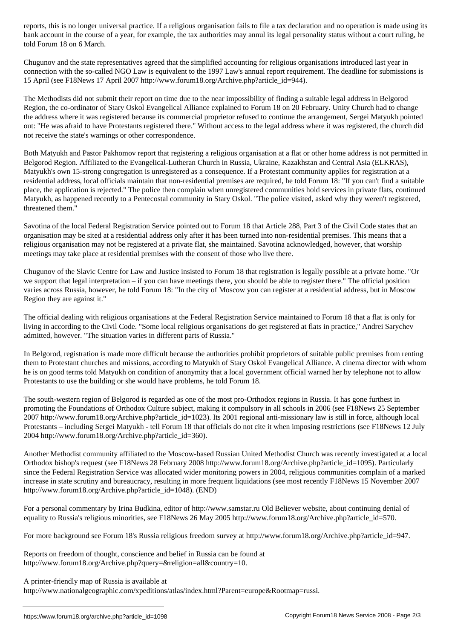bank account in the course of a year, for example, the tax authorities may annul its legal personality status without a court ruling, he told Forum 18 on 6 March.

Chugunov and the state representatives agreed that the simplified accounting for religious organisations introduced last year in connection with the so-called NGO Law is equivalent to the 1997 Law's annual report requirement. The deadline for submissions is 15 April (see F18News 17 April 2007 http://www.forum18.org/Archive.php?article\_id=944).

The Methodists did not submit their report on time due to the near impossibility of finding a suitable legal address in Belgorod Region, the co-ordinator of Stary Oskol Evangelical Alliance explained to Forum 18 on 20 February. Unity Church had to change the address where it was registered because its commercial proprietor refused to continue the arrangement, Sergei Matyukh pointed out: "He was afraid to have Protestants registered there." Without access to the legal address where it was registered, the church did not receive the state's warnings or other correspondence.

Both Matyukh and Pastor Pakhomov report that registering a religious organisation at a flat or other home address is not permitted in Belgorod Region. Affiliated to the Evangelical-Lutheran Church in Russia, Ukraine, Kazakhstan and Central Asia (ELKRAS), Matyukh's own 15-strong congregation is unregistered as a consequence. If a Protestant community applies for registration at a residential address, local officials maintain that non-residential premises are required, he told Forum 18: "If you can't find a suitable place, the application is rejected." The police then complain when unregistered communities hold services in private flats, continued Matyukh, as happened recently to a Pentecostal community in Stary Oskol. "The police visited, asked why they weren't registered, threatened them."

Savotina of the local Federal Registration Service pointed out to Forum 18 that Article 288, Part 3 of the Civil Code states that an organisation may be sited at a residential address only after it has been turned into non-residential premises. This means that a religious organisation may not be registered at a private flat, she maintained. Savotina acknowledged, however, that worship meetings may take place at residential premises with the consent of those who live there.

Chugunov of the Slavic Centre for Law and Justice insisted to Forum 18 that registration is legally possible at a private home. "Or we support that legal interpretation – if you can have meetings there, you should be able to register there." The official position varies across Russia, however, he told Forum 18: "In the city of Moscow you can register at a residential address, but in Moscow Region they are against it."

The official dealing with religious organisations at the Federal Registration Service maintained to Forum 18 that a flat is only for living in according to the Civil Code. "Some local religious organisations do get registered at flats in practice," Andrei Sarychev admitted, however. "The situation varies in different parts of Russia."

In Belgorod, registration is made more difficult because the authorities prohibit proprietors of suitable public premises from renting them to Protestant churches and missions, according to Matyukh of Stary Oskol Evangelical Alliance. A cinema director with whom he is on good terms told Matyukh on condition of anonymity that a local government official warned her by telephone not to allow Protestants to use the building or she would have problems, he told Forum 18.

The south-western region of Belgorod is regarded as one of the most pro-Orthodox regions in Russia. It has gone furthest in promoting the Foundations of Orthodox Culture subject, making it compulsory in all schools in 2006 (see F18News 25 September 2007 http://www.forum18.org/Archive.php?article\_id=1023). Its 2001 regional anti-missionary law is still in force, although local Protestants – including Sergei Matyukh - tell Forum 18 that officials do not cite it when imposing restrictions (see F18News 12 July 2004 http://www.forum18.org/Archive.php?article\_id=360).

Another Methodist community affiliated to the Moscow-based Russian United Methodist Church was recently investigated at a local Orthodox bishop's request (see F18News 28 February 2008 http://www.forum18.org/Archive.php?article\_id=1095). Particularly since the Federal Registration Service was allocated wider monitoring powers in 2004, religious communities complain of a marked increase in state scrutiny and bureaucracy, resulting in more frequent liquidations (see most recently F18News 15 November 2007 http://www.forum18.org/Archive.php?article\_id=1048). (END)

For a personal commentary by Irina Budkina, editor of http://www.samstar.ru Old Believer website, about continuing denial of equality to Russia's religious minorities, see F18News 26 May 2005 http://www.forum18.org/Archive.php?article\_id=570.

For more background see Forum 18's Russia religious freedom survey at http://www.forum18.org/Archive.php?article\_id=947.

Reports on freedom of thought, conscience and belief in Russia can be found at http://www.forum18.org/Archive.php?query=&religion=all&country=10.

A printer-friendly map of Russia is available at

http://www.nationalgeographic.com/xpeditions/atlas/index.html?Parent=europe&Rootmap=russi.